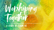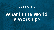#### LESSON 1

# **What in the World Is Worship?**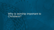#### Why is worship important to Christians?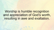## Worship is humble recognition and appreciation of God's worth, resulting in awe and exaltation.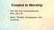## **Created to Worship**

- The First Two Commandments (Exo. 20:1–6)
- Altars, Temples, Synagogues, and **Churches**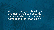What non-religious buildings and gatherings can become places in which people worship something other than God?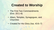## **Created to Worship**

- The First Two Commandments (Exo. 20:1–6)
- Altars, Temples, Synagogues, and **Churches**
- Created for His Glory (Isa. 43:6-7)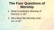## **The Four Questions of Worship**

- 1. What Constitutes Worship of God (vv. 1–3)?
- 2. Why Must We Worship God  $(vv. 4–6)?$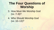## **The Four Questions of Worship**

3. How Must We Worship God (vv. 7–9)?

4. Who Should Worship God (vv. 10–13)?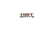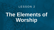#### LESSON 2

# **The Elements of Worship**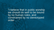"I believe that in public worship we should do well to be bound by no human rules, and constrained by no stereotyped order ...."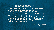". . . Practices good in themselves are to be protested against if they gender to bondage . . . and if we worship God according to His guidance, the worship cannot invariably take the same form."

—*C.H. Spurgeon*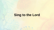## **Sing to the Lord**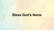### **Bless God's Name**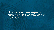How can we show respectful submission to God through our worship?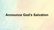## **Announce God's Salvation**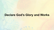#### **Declare God's Glory and Works**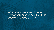What are some specific events, perhaps from your own life, that showcased God's glory?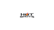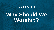#### LESSON 3

# **Why Should We Worship?**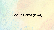## **God Is Great (v. 4a)**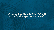What are some specific ways in which God surpasses all else?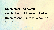## **Omnipotent**—All-powerful **Omniscient**—All-knowing; all-wise **Omnipresent**—Present everywhere at once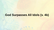### **God Surpasses All Idols (v. 4b)**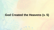### **God Created the Heavens (v. 5)**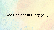## **God Resides in Glory (v. 6)**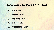## **Reasons to Worship God**

- **1. Luke 4:8**
- **2. Psalm 150:1**
- **3. Revelation 4:11**
- **4. 1 Peter 2:9**
- **5. Colossians 3:16**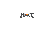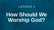#### LESSON 4

# **How Should We Worship God?**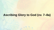## **Ascribing Glory to God (vv. 7–8a)**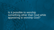Is it possible to worship something other than God while appearing to worship God?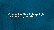#### What are some things we may be worshiping besides God?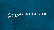#### What do you hope to achieve in your life?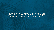#### How can you give glory to God for what you will accomplish?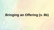## **Bringing an Offering (v. 8b)**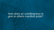#### How does an unwillingness to give to others manifest pride?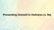#### **Presenting Oneself in Holiness (v. 9a)**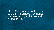Does God have a right to ask us to display holiness—evidence that we belong to Him—in all areas of life?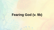## **Fearing God (v. 9b)**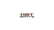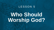#### LESSON 5

# **Who Should Worship God?**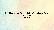### **All People Should Worship God (v. 10)**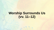## **Worship Surrounds Us (vv. 11–12)**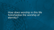How does worship in this life foreshadow the worship of eternity?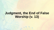## **Judgment, the End of False Worship (v. 13)**